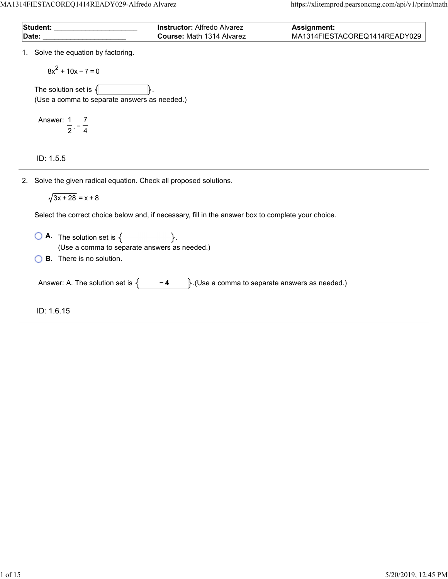MA1314FIESTACOREQ1414READY029-Alfredo Alvarez https://xlitemprod.pearsoncmg.com/api/v1/print/math

| <b>Student:</b> | <b>Instructor:</b> Alfredo Alvarez | <b>Assignment:</b>            |
|-----------------|------------------------------------|-------------------------------|
| Date:           | <b>Course:</b> Math 1314 Alvarez   | MA1314FIESTACOREQ1414READY029 |

1. Solve the equation by factoring.

 $8x^2 + 10x - 7 = 0$ 

The solution set is  $\{$ (Use a comma to separate answers as needed.)

Answer: , − 1 2 7 4

ID: 1.5.5

2. Solve the given radical equation. Check all proposed solutions.

 $\sqrt{3x + 28} = x + 8$ 

Select the correct choice below and, if necessary, fill in the answer box to complete your choice.

 $\overline{O}$  **A.** The solution set is  $\left\{$ (Use a comma to separate answers as needed.)

**B.** There is no solution.

Answer: A. The solution set is  $\begin{cases} -4 \end{cases}$ . (Use a comma to separate answers as needed.)

ID: 1.6.15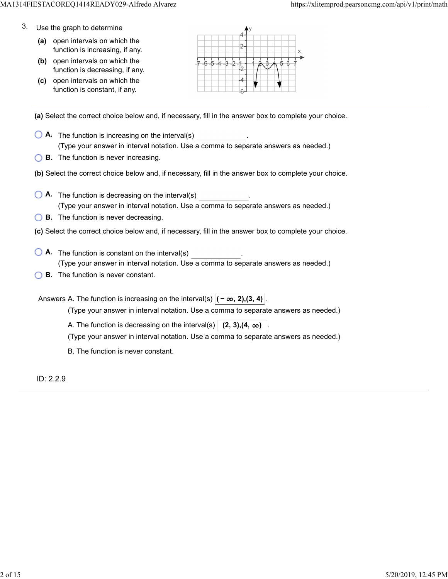- 3. Use the graph to determine
	- **(a)** open intervals on which the function is increasing, if any.
	- **(b)** open intervals on which the function is decreasing, if any.
	- **(c)** open intervals on which the function is constant, if any.



**(a)** Select the correct choice below and, if necessary, fill in the answer box to complete your choice.

- **A.** The function is increasing on the interval(s) . (Type your answer in interval notation. Use a comma to separate answers as needed.)
- **B.** The function is never increasing.
- **(b)** Select the correct choice below and, if necessary, fill in the answer box to complete your choice.
- **A.** The function is decreasing on the interval(s) . (Type your answer in interval notation. Use a comma to separate answers as needed.)
- **B.** The function is never decreasing.
- **(c)** Select the correct choice below and, if necessary, fill in the answer box to complete your choice.
- **A**. The function is constant on the interval(s) **A**. (Type your answer in interval notation. Use a comma to separate answers as needed.)
- **B.** The function is never constant.

Answers A. The function is increasing on the interval(s)  $|(-\infty, 2), (3, 4)|$ 

(Type your answer in interval notation. Use a comma to separate answers as needed.)

A. The function is decreasing on the interval(s)  $(2, 3)$ ,  $(4, \infty)$ 

(Type your answer in interval notation. Use a comma to separate answers as needed.)

B. The function is never constant.

ID: 2.2.9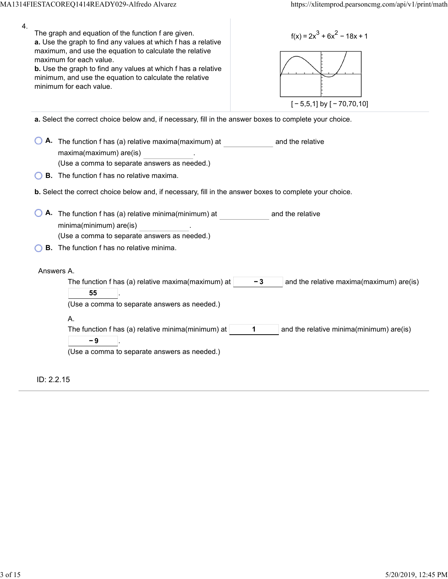| 4. | The graph and equation of the function f are given.<br>$f(x) = 2x^3 + 6x^2 - 18x + 1$<br>a. Use the graph to find any values at which f has a relative<br>maximum, and use the equation to calculate the relative<br>maximum for each value.<br>b. Use the graph to find any values at which f has a relative<br>minimum, and use the equation to calculate the relative<br>minimum for each value.<br>$[-5,5,1]$ by $[-70,70,10]$ |
|----|------------------------------------------------------------------------------------------------------------------------------------------------------------------------------------------------------------------------------------------------------------------------------------------------------------------------------------------------------------------------------------------------------------------------------------|
|    | a. Select the correct choice below and, if necessary, fill in the answer boxes to complete your choice.                                                                                                                                                                                                                                                                                                                            |
|    | A. The function f has (a) relative maxima(maximum) at<br>and the relative<br>maxima(maximum) are(is)<br>(Use a comma to separate answers as needed.)                                                                                                                                                                                                                                                                               |
|    | <b>B.</b> The function f has no relative maxima.                                                                                                                                                                                                                                                                                                                                                                                   |
|    | b. Select the correct choice below and, if necessary, fill in the answer boxes to complete your choice.                                                                                                                                                                                                                                                                                                                            |
|    | A. The function f has (a) relative minima(minimum) at<br>and the relative<br>minima(minimum) are(is)<br>(Use a comma to separate answers as needed.)<br><b>B.</b> The function f has no relative minima.                                                                                                                                                                                                                           |
|    |                                                                                                                                                                                                                                                                                                                                                                                                                                    |
|    | Answers A.<br>The function f has (a) relative maxima(maximum) at<br>- 3<br>and the relative maxima(maximum) are(is)<br>55<br>(Use a comma to separate answers as needed.)                                                                                                                                                                                                                                                          |
|    | А.<br>The function f has (a) relative minima(minimum) at<br>and the relative minima(minimum) are(is)<br>1<br>- 9<br>(Use a comma to separate answers as needed.)                                                                                                                                                                                                                                                                   |
|    | ID: 2.2.15                                                                                                                                                                                                                                                                                                                                                                                                                         |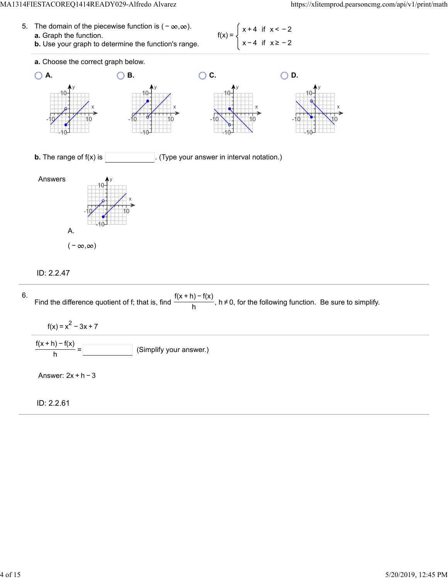#### MA1314FIESTACOREQ1414READY029-Alfredo Alvarez https://xlitemprod.pearsoncmg.com/api/v1/print/math

- 5. The domain of the piecewise function is  $(-\infty, \infty)$ . **a.** Graph the function.  $f(x) =$ 
	- **b.** Use your graph to determine the function's range.

x + 4 if x < − 2 x − 4 if x ≥ − 2



# ID: 2.2.47



ID: 2.2.61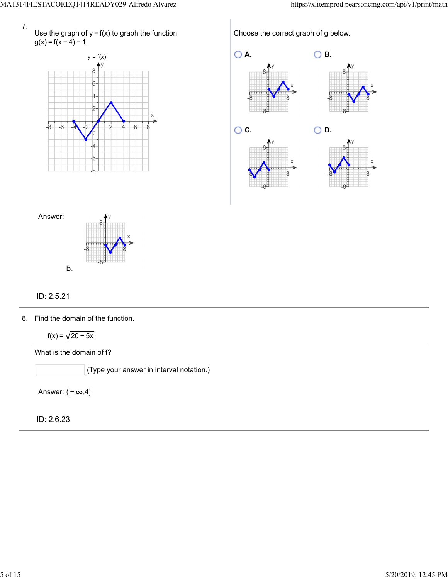

Use the graph of  $y = f(x)$  to graph the function  $g(x) = f(x-4) - 1.$ 



Choose the correct graph of g below.





# ID: 2.5.21

8. Find the domain of the function.

 $f(x) = \sqrt{20 - 5x}$ 

What is the domain of f?

 $\big]$  (Type your answer in interval notation.)

Answer:  $(-\infty, 4]$ 

ID: 2.6.23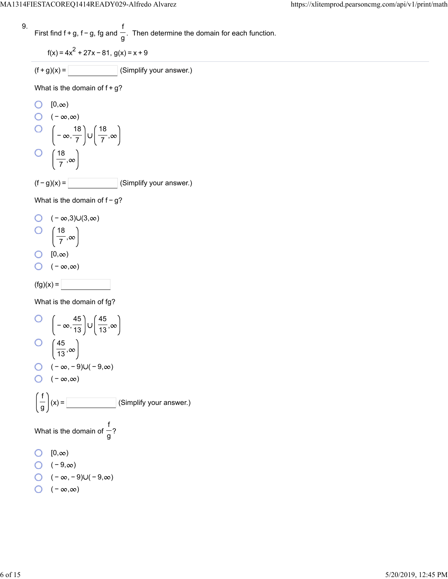9. First find 
$$
f + g
$$
,  $f - g$ , fg and  $\frac{f}{g}$ . Then determine the domain for each function.

$$
f(x) = 4x^2 + 27x - 81, g(x) = x + 9
$$

$$
(f+g)(x) = \boxed{\qquad \qquad} \text{(Simplify your answer.)}
$$

What is the domain of  $f+g$ ?

O [0,
$$
\infty
$$
)  
O (- $\infty$ , $\infty$ )  
O  $\left(-\infty, \frac{18}{7}\right) \cup \left(\frac{18}{7}, \infty\right)$   
O  $\left(\frac{18}{7}, \infty\right)$   
(f - g)(x) =   
 (Simplify your answer.)

What is the domain of f - g?

$$
\begin{array}{cc}\nO & (-\infty, 3) \cup (3, \infty) \\
O & \left(\frac{18}{7}, \infty\right)\n\end{array}
$$

$$
\begin{array}{cc}\n0 & 0 \\
0 & \infty\n\end{array}
$$

$$
\bigcirc \quad (-\infty,\infty)
$$

$$
(\text{fg})(x) = \boxed{\phantom{aaaaa}}
$$

What is the domain of fg?

O 
$$
\left(-\infty, \frac{45}{13}\right) \cup \left(\frac{45}{13}, \infty\right)
$$
  
O  $\left(\frac{45}{13}, \infty\right)$   
O  $\left(-\infty, -9\right) \cup \left(-9, \infty\right)$   
O  $\left(-\infty, \infty\right)$   
O  $\left(-\infty, \infty\right)$   
 $\left(\frac{f}{g}\right)(x) =$  (Simplify your answer.)  
What is the domain of  $\frac{f}{g}$ ?  
O [0,∞)  
O  $\left(-9, \infty\right)$   
O  $\left(-\infty, -9\right) \cup \left(-9, \infty\right)$ 

$$
\bigcirc \quad (-\infty,\infty)
$$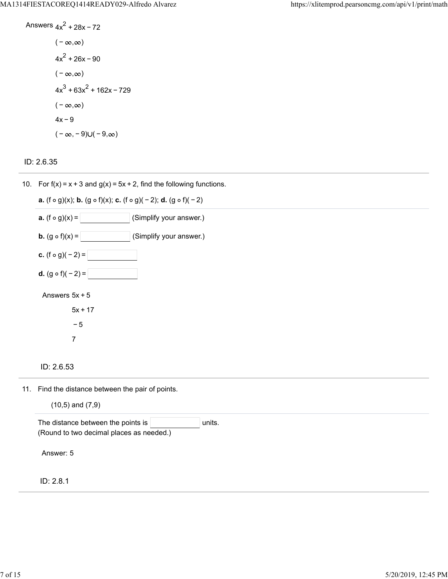Answers 
$$
4x^2 + 28x - 72
$$
  
\n $(-\infty, \infty)$   
\n $4x^2 + 26x - 90$   
\n $(-\infty, \infty)$   
\n $4x^3 + 63x^2 + 162x - 729$   
\n $(-\infty, \infty)$   
\n $4x - 9$   
\n $(-\infty, -9) \cup (-9, \infty)$ 

# ID: 2.6.35

10. For  $f(x) = x + 3$  and  $g(x) = 5x + 2$ , find the following functions.

| <b>a.</b> (f $\circ$ g)(x); <b>b.</b> (g $\circ$ f)(x); <b>c.</b> (f $\circ$ g)( - 2); <b>d.</b> (g $\circ$ f)( - 2) |
|----------------------------------------------------------------------------------------------------------------------|
| <b>a.</b> $(f \circ g)(x) =$<br>(Simplify your answer.)                                                              |
| <b>b.</b> $(g \circ f)(x) =$<br>(Simplify your answer.)                                                              |
| c. $(f \circ g)(-2) =$                                                                                               |
| <b>d.</b> $(g \circ f)(-2) =$                                                                                        |
| Answers $5x + 5$                                                                                                     |
| $5x + 17$                                                                                                            |
| - 5                                                                                                                  |
| 7                                                                                                                    |
|                                                                                                                      |

### ID: 2.6.53

11. Find the distance between the pair of points.

 $(10.5)$  and  $(7.9)$ 

| The distance between the points is |                                          | units. |  |  |  |  |
|------------------------------------|------------------------------------------|--------|--|--|--|--|
|                                    | (Round to two decimal places as needed.) |        |  |  |  |  |
|                                    |                                          |        |  |  |  |  |
| Answer: 5                          |                                          |        |  |  |  |  |
|                                    |                                          |        |  |  |  |  |
|                                    |                                          |        |  |  |  |  |
| ID: 2.8.1                          |                                          |        |  |  |  |  |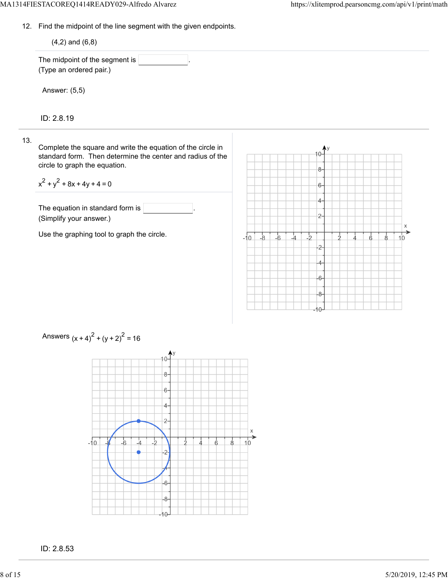13.

12. Find the midpoint of the line segment with the given endpoints.

| This the mapoint of the mis segment man the great onapointer                                                                                                                                    |                                                                                  |
|-------------------------------------------------------------------------------------------------------------------------------------------------------------------------------------------------|----------------------------------------------------------------------------------|
| $(4,2)$ and $(6,8)$                                                                                                                                                                             |                                                                                  |
| The midpoint of the segment is<br>(Type an ordered pair.)                                                                                                                                       |                                                                                  |
| Answer: (5,5)                                                                                                                                                                                   |                                                                                  |
| ID: 2.8.19                                                                                                                                                                                      |                                                                                  |
| Complete the square and write the equation of the circle in<br>standard form. Then determine the center and radius of the<br>circle to graph the equation.<br>$x^{2} + y^{2} + 8x + 4y + 4 = 0$ | $8-$                                                                             |
| The equation in standard form is<br>(Simplify your answer.)                                                                                                                                     | 6-<br>4-<br>$2 -$                                                                |
| Use the graphing tool to graph the circle.                                                                                                                                                      | Χ<br>$-6$<br>$-8$<br>$-i$ o<br>_lı<br>$\rightarrow$<br>R<br>10<br>$\overline{c}$ |
|                                                                                                                                                                                                 | -6<br>$-8-$<br>-10-                                                              |



Answers  $(x + 4)^{2} + (y + 2)^{2} = 16$ 

ID: 2.8.53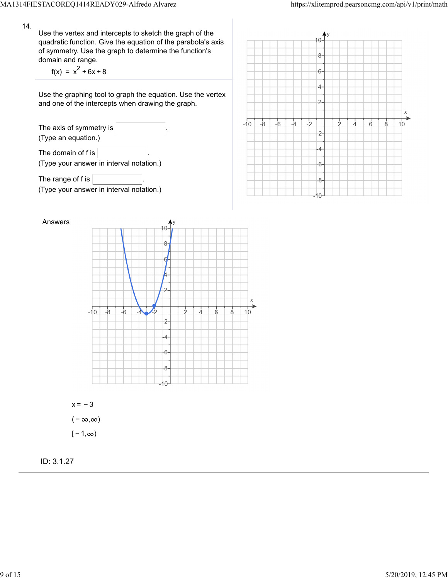14.

Use the vertex and intercepts to sketch the graph of the quadratic function. Give the equation of the parabola's axis of symmetry. Use the graph to determine the function's domain and range.

 $f(x) = x^2 + 6x + 8$ 

Use the graphing tool to graph the equation. Use the vertex and one of the intercepts when drawing the graph.

The axis of symmetry is (Type an equation.) The domain of f is  $\sqrt{ }$ (Type your answer in interval notation.)

The range of f is  $\sqrt{ }$ (Type your answer in interval notation.)





 $x = -3$  $(-\infty, \infty)$  $[-1, \infty)$ 

ID: 3.1.27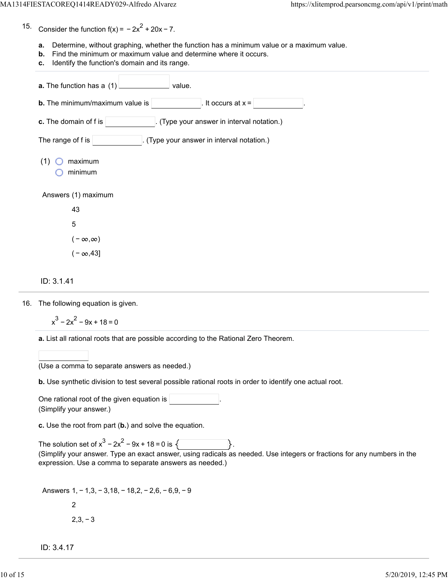15. Consider the function  $f(x) = -2x^2 + 20x - 7$ .

- **a.** Determine, without graphing, whether the function has a minimum value or a maximum value.
- **b.** Find the minimum or maximum value and determine where it occurs.
- **c.** Identify the function's domain and its range.

| a. The function has a (1)<br>value.                                   |
|-----------------------------------------------------------------------|
| It occurs at $x =$<br><b>b.</b> The minimum/maximum value is          |
| c. The domain of f is<br>(Type your answer in interval notation.)     |
| The range of $f$ is $ $<br>. (Type your answer in interval notation.) |
| maximum<br>(1)<br>minimum                                             |
| Answers (1) maximum                                                   |
| 43                                                                    |
| $\mathbf 5$                                                           |
| $(-\infty,\infty)$                                                    |
| $(-\infty, 43]$                                                       |
| ID: 3.1.41                                                            |
| The following equation is given.                                      |
| $x^3 - 2x^2 - 9x + 18 = 0$                                            |

**a.** List all rational roots that are possible according to the Rational Zero Theorem.

|  |  | (Use a comma to separate answers as needed.) |  |
|--|--|----------------------------------------------|--|
|  |  |                                              |  |

**b.** Use synthetic division to test several possible rational roots in order to identify one actual root.

One rational root of the given equation is . (Simplify your answer.)

**c.** Use the root from part (**b.**) and solve the equation.

The solution set of  $x^3 - 2x^2 - 9x + 18 = 0$  is  $\sqrt{ }$ (Simplify your answer. Type an exact answer, using radicals as needed. Use integers or fractions for any numbers in the expression. Use a comma to separate answers as needed.)

Answers 1, − 1,3, − 3,18, − 18,2, − 2,6, − 6,9, − 9 2  $2,3,-3$ 

ID: 3.4.17

16.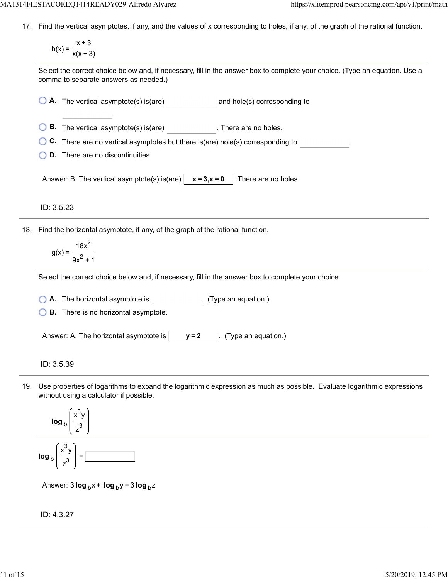17. Find the vertical asymptotes, if any, and the values of x corresponding to holes, if any, of the graph of the rational function.

$$
h(x) = \frac{x+3}{x(x-3)}
$$

Select the correct choice below and, if necessary, fill in the answer box to complete your choice. (Type an equation. Use a comma to separate answers as needed.)

**A.** The vertical asymptote(s) is(are) and hole(s) corresponding to

**B.** The vertical asymptote(s) is(are) **B.** There are no holes.

**C.** There are no vertical asymptotes but there is(are) hole(s) corresponding to .

**D.** There are no discontinuities.

.

Answer: B. The vertical asymptote(s) is(are)  $x = 3$ ,  $x = 0$  . There are no holes.

ID: 3.5.23

18. Find the horizontal asymptote, if any, of the graph of the rational function.

$$
g(x) = \frac{18x^2}{9x^2 + 1}
$$

Select the correct choice below and, if necessary, fill in the answer box to complete your choice.

**A.** The horizontal asymptote is . (Type an equation.)

**B.** There is no horizontal asymptote.

Answer: A. The horizontal asymptote is  $|$   $y=2$   $|$ . (Type an equation.)

ID: 3.5.39

19. Use properties of logarithms to expand the logarithmic expression as much as possible. Evaluate logarithmic expressions without using a calculator if possible.

$$
\log_{b}\left(\frac{x^{3}y}{z^{3}}\right)
$$
\n
$$
\log_{b}\left(\frac{x^{3}y}{z^{3}}\right) = \boxed{\qquad \qquad }
$$

Answer: 3 **log** <sub>b</sub> x + **log** <sub>b</sub> y − 3 **log** <sub>b</sub> z

### ID: 4.3.27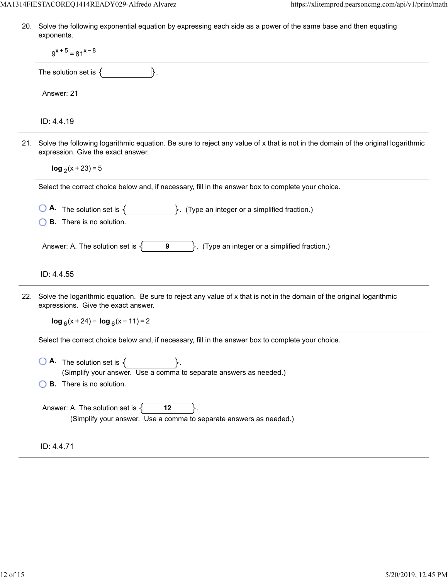20. Solve the following exponential equation by expressing each side as a power of the same base and then equating exponents.

|     | $9^{x+5} = 81^{x-8}$                                                                                                                                                   |  |  |  |  |
|-----|------------------------------------------------------------------------------------------------------------------------------------------------------------------------|--|--|--|--|
|     | The solution set is $\{$                                                                                                                                               |  |  |  |  |
|     | Answer: 21                                                                                                                                                             |  |  |  |  |
|     | ID: 4.4.19                                                                                                                                                             |  |  |  |  |
| 21. | Solve the following logarithmic equation. Be sure to reject any value of x that is not in the domain of the original logarithmic<br>expression. Give the exact answer. |  |  |  |  |
|     | $log_2(x + 23) = 5$                                                                                                                                                    |  |  |  |  |
|     | Select the correct choice below and, if necessary, fill in the answer box to complete your choice.                                                                     |  |  |  |  |
|     | <b>O</b> A. The solution set is $\{$ $\}$ . (Type an integer or a simplified fraction.)                                                                                |  |  |  |  |
|     | <b>B.</b> There is no solution.                                                                                                                                        |  |  |  |  |
|     | Answer: A. The solution set is $\{$<br>(Type an integer or a simplified fraction.)<br>9<br>$\mathbf{E}$                                                                |  |  |  |  |
|     | ID: 4.4.55                                                                                                                                                             |  |  |  |  |
| 22. | Solve the logarithmic equation. Be sure to reject any value of x that is not in the domain of the original logarithmic<br>expressions. Give the exact answer.          |  |  |  |  |
|     | $\log_6(x + 24) - \log_6(x - 11) = 2$                                                                                                                                  |  |  |  |  |
|     | Select the correct choice below and, if necessary, fill in the answer box to complete your choice.                                                                     |  |  |  |  |
|     | <b>O A.</b> The solution set is $\{\_\}$ .<br>(Simplify your answer. Use a comma to separate answers as needed.)                                                       |  |  |  |  |
|     | <b>B.</b> There is no solution.                                                                                                                                        |  |  |  |  |
|     | Answer: A. The solution set is $\{$<br>12<br>(Simplify your answer. Use a comma to separate answers as needed.)                                                        |  |  |  |  |
|     | ID: 4.4.71                                                                                                                                                             |  |  |  |  |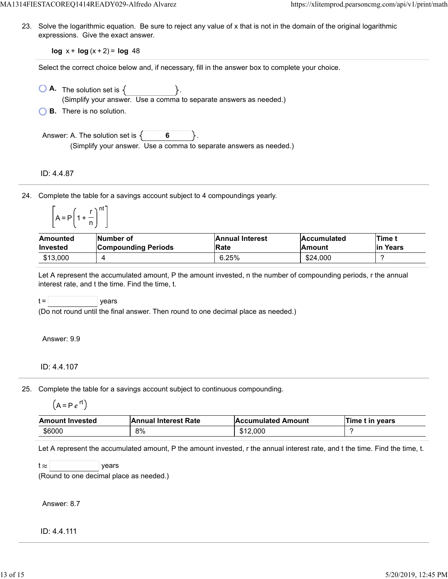23. Solve the logarithmic equation. Be sure to reject any value of x that is not in the domain of the original logarithmic expressions. Give the exact answer.

**log**  $x + \log(x + 2) = \log 48$ 

Select the correct choice below and, if necessary, fill in the answer box to complete your choice.

- $\bigcirc$  **A.** The solution set is  $\{ \}$ . (Simplify your answer. Use a comma to separate answers as needed.)
- **B.** There is no solution.

Answer: A. The solution set is  $\{ \}$  6 (Simplify your answer. Use a comma to separate answers as needed.)

ID: 4.4.87

24. Complete the table for a savings account subject to 4 compoundings yearly.

| $A = P   1$ |    | nt |
|-------------|----|----|
|             | -1 |    |

| Amounted        | Number of                  | <b>Annual Interest</b> | <b>Accumulated</b> | <b>Time</b> t |
|-----------------|----------------------------|------------------------|--------------------|---------------|
| <b>Invested</b> | <b>Compounding Periods</b> | <b>Rate</b>            | <b>Amount</b>      | lin Years     |
| \$13.000        |                            | 6.25%                  | \$24,000           |               |

Let A represent the accumulated amount, P the amount invested, n the number of compounding periods, r the annual interest rate, and t the time. Find the time, t.

 $t =$  | years

(Do not round until the final answer. Then round to one decimal place as needed.)

Answer: 9.9

#### ID: 4.4.107

25. Complete the table for a savings account subject to continuous compounding.

$$
(A = P e^{rt})
$$

| <b>Amount Invested</b> | <b>Annual Interest Rate</b> | <b>Accumulated Amount</b> | ∣Time t in years |
|------------------------|-----------------------------|---------------------------|------------------|
| \$6000                 | 8%                          | \$12,000                  |                  |

Let A represent the accumulated amount, P the amount invested, r the annual interest rate, and t the time. Find the time, t.

 $t \approx$  years

(Round to one decimal place as needed.)

Answer: 8.7

ID: 4.4.111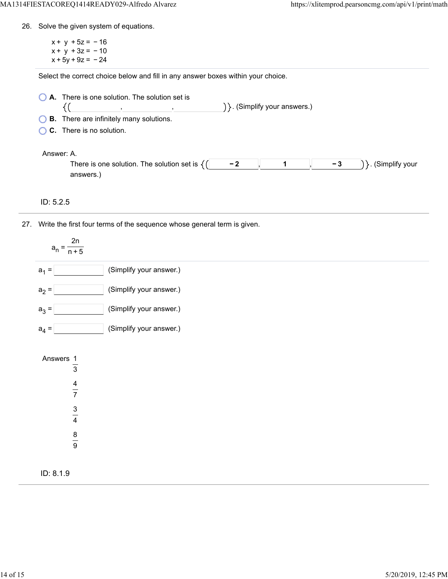26. Solve the given system of equations.

 $x + y + 5z = -16$  $x + y + 3z = -10$  $x + 5y + 9z = -24$ 

Select the correct choice below and fill in any answer boxes within your choice.

| $\bigcirc$ A. There is one solution. The solution set is |  |  |                                   |  |
|----------------------------------------------------------|--|--|-----------------------------------|--|
|                                                          |  |  | $\{\}$ . (Simplify your answers.) |  |
| <b>COD</b> These are infinitely means calculated         |  |  |                                   |  |

**B.** There are infinitely many solutions.

**C.** There is no solution.

Answer: A.

| ,,,,,                                        |   |      |                  |
|----------------------------------------------|---|------|------------------|
| There is one solution. The solution set is ' | - | $-1$ | vour<br>Simnlitv |
| answers                                      |   |      |                  |

ID: 5.2.5

27. Write the first four terms of the sequence whose general term is given.

| 2n<br>$a_n =$<br>$\overline{n+5}$                                              |                         |
|--------------------------------------------------------------------------------|-------------------------|
| $a_1 =$                                                                        | (Simplify your answer.) |
| $a_2 =$                                                                        | (Simplify your answer.) |
| $a_3 =$                                                                        | (Simplify your answer.) |
| $a_4 =$                                                                        | (Simplify your answer.) |
| Answers 1<br>$\overline{3}$<br>$\frac{4}{7}$<br>$\frac{3}{4}$<br>$\frac{8}{9}$ |                         |
| ID: 8.1.9                                                                      |                         |